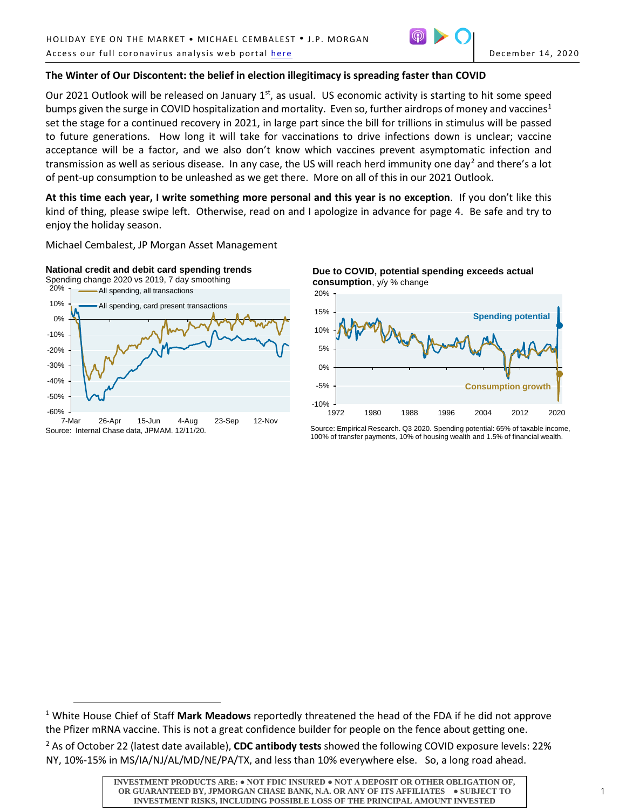

## **The Winter of Our Discontent: the belief in election illegitimacy is spreading faster than COVID**

Our 2021 Outlook will be released on January 1<sup>st</sup>, as usual. US economic activity is starting to hit some speed bumps given the surge in COVID hospitalization and mortality. Even so, further airdrops of money and vaccines<sup>[1](#page-0-0)</sup> set the stage for a continued recovery in 2021, in large part since the bill for trillions in stimulus will be passed to future generations. How long it will take for vaccinations to drive infections down is unclear; vaccine acceptance will be a factor, and we also don't know which vaccines prevent asymptomatic infection and transmission as well as serious disease. In any case, the US will reach herd immunity one day<sup>[2](#page-0-1)</sup> and there's a lot of pent-up consumption to be unleashed as we get there. More on all of this in our 2021 Outlook.

**At this time each year, I write something more personal and this year is no exception**. If you don't like this kind of thing, please swipe left. Otherwise, read on and I apologize in advance for page 4. Be safe and try to enjoy the holiday season.

Michael Cembalest, JP Morgan Asset Management



Spending change 2020 vs 2019, 7 day smoothing



7-Mar 26-Apr 15-Jun 4-Aug 23-Sep 12-Nov Source: Internal Chase data, JPMAM. 12/11/20.

 $\overline{a}$ 





Source: Empirical Research. Q3 2020. Spending potential: 65% of taxable income, 100% of transfer payments, 10% of housing wealth and 1.5% of financial wealth.

<span id="page-0-0"></span><sup>1</sup> White House Chief of Staff **Mark Meadows** reportedly threatened the head of the FDA if he did not approve the Pfizer mRNA vaccine. This is not a great confidence builder for people on the fence about getting one.

<span id="page-0-1"></span><sup>2</sup> As of October 22 (latest date available), **CDC antibody tests** showed the following COVID exposure levels: 22% NY, 10%-15% in MS/IA/NJ/AL/MD/NE/PA/TX, and less than 10% everywhere else. So, a long road ahead.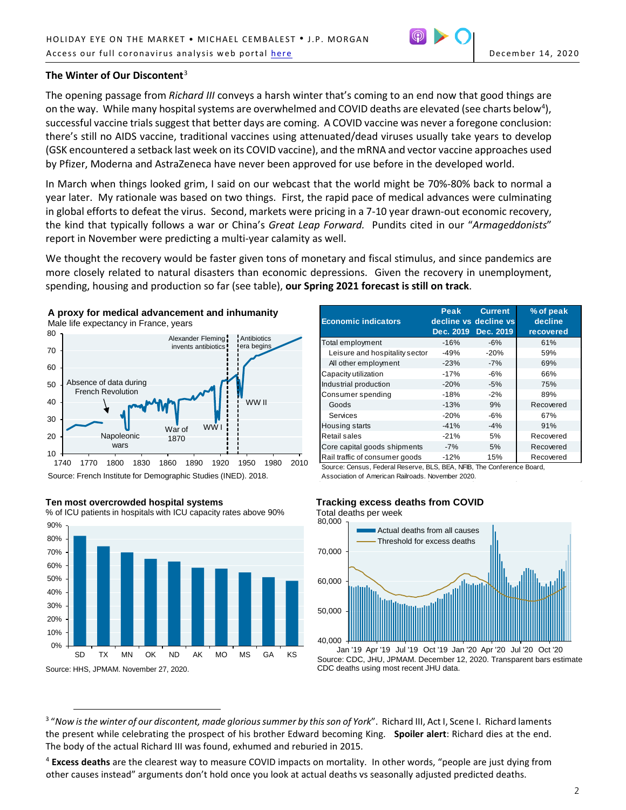

# **The Winter of Our Discontent**[3](#page-1-0)

The opening passage from *Richard III* conveys a harsh winter that's coming to an end now that good things are on the way. While many hospital systems are overwhelmed and COVID deaths are elevated (see charts below<sup>[4](#page-1-1)</sup>), successful vaccine trials suggest that better days are coming. A COVID vaccine was never a foregone conclusion: there's still no AIDS vaccine, traditional vaccines using attenuated/dead viruses usually take years to develop (GSK encountered a setback last week on its COVID vaccine), and the mRNA and vector vaccine approaches used by Pfizer, Moderna and AstraZeneca have never been approved for use before in the developed world.

In March when things looked grim, I said on our webcast that the world might be 70%-80% back to normal a year later. My rationale was based on two things. First, the rapid pace of medical advances were culminating in global efforts to defeat the virus. Second, markets were pricing in a 7-10 year drawn-out economic recovery, the kind that typically follows a war or China's *Great Leap Forward.* Pundits cited in our "*Armageddonists*" report in November were predicting a multi-year calamity as well.

We thought the recovery would be faster given tons of monetary and fiscal stimulus, and since pandemics are more closely related to natural disasters than economic depressions. Given the recovery in unemployment, spending, housing and production so far (see table), **our Spring 2021 forecast is still on track**.



Source: French Institute for Demographic Studies (INED). 2018.



#### **Ten most overcrowded hospital systems**

 $\overline{a}$ 

% of ICU patients in hospitals with ICU capacity rates above 90%

| <b>Economic indicators</b>     | Peak      | <b>Current</b><br>decline vs decline vs<br>Dec. 2019 | % of peak<br>decline |
|--------------------------------|-----------|------------------------------------------------------|----------------------|
|                                | Dec. 2019 |                                                      | recovered            |
| Total employment               | $-16%$    | $-6%$                                                | 61%                  |
| Leisure and hospitality sector | $-49%$    | $-20%$                                               | 59%                  |
| All other employment           | $-23%$    | $-7%$                                                | 69%                  |
| Capacity utilization           | $-17%$    | $-6%$                                                | 66%                  |
| Industrial production          | $-20%$    | $-5%$                                                | 75%                  |
| Consumer spending              | $-18%$    | $-2%$                                                | 89%                  |
| Goods                          | $-13%$    | 9%                                                   | Recovered            |
| Services                       | $-20%$    | $-6%$                                                | 67%                  |
| Housing starts                 | $-41%$    | $-4%$                                                | 91%                  |
| Retail sales                   | $-21%$    | 5%                                                   | Recovered            |
| Core capital goods shipments   | $-7%$     | 5%                                                   | Recovered            |
| Rail traffic of consumer goods | $-12%$    | 15%                                                  | Recovered            |

Source: Census, Federal Reserve, BLS, BEA, NFIB, The Conference Board, Association of American Railroads. November 2020.

### **Tracking excess deaths from COVID**

40,000 50,000 60,000 70,000 80,000 Jan '19 Apr '19 Jul '19 Oct '19 Jan '20 Apr '20 Jul '20 Oct '20 **Actual deaths from all causes** Threshold for excess deaths Total deaths per week

Source: CDC, JHU, JPMAM. December 12, 2020. Transparent bars estimate CDC deaths using most recent JHU data.

<span id="page-1-0"></span><sup>3</sup> "*Now is the winter of our discontent, made glorious summer by this son of York*". Richard III, Act I, Scene I. Richard laments the present while celebrating the prospect of his brother Edward becoming King. **Spoiler alert**: Richard dies at the end. The body of the actual Richard III was found, exhumed and reburied in 2015.

<span id="page-1-1"></span><sup>4</sup> **Excess deaths** are the clearest way to measure COVID impacts on mortality. In other words, "people are just dying from other causes instead" arguments don't hold once you look at actual deaths vs seasonally adjusted predicted deaths.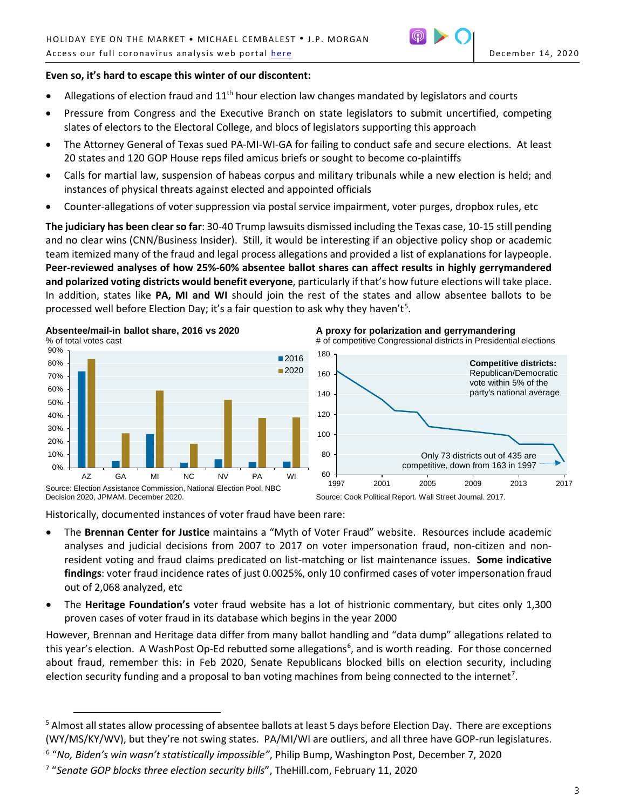# **Even so, it's hard to escape this winter of our discontent:**

- Allegations of election fraud and  $11<sup>th</sup>$  hour election law changes mandated by legislators and courts
- Pressure from Congress and the Executive Branch on state legislators to submit uncertified, competing slates of electors to the Electoral College, and blocs of legislators supporting this approach
- The Attorney General of Texas sued PA-MI-WI-GA for failing to conduct safe and secure elections. At least 20 states and 120 GOP House reps filed amicus briefs or sought to become co-plaintiffs
- Calls for martial law, suspension of habeas corpus and military tribunals while a new election is held; and instances of physical threats against elected and appointed officials
- Counter-allegations of voter suppression via postal service impairment, voter purges, dropbox rules, etc

**The judiciary has been clear so far**: 30-40 Trump lawsuits dismissed including the Texas case, 10-15 still pending and no clear wins (CNN/Business Insider). Still, it would be interesting if an objective policy shop or academic team itemized many of the fraud and legal process allegations and provided a list of explanations for laypeople. **Peer-reviewed analyses of how 25%-60% absentee ballot shares can affect results in highly gerrymandered and polarized voting districts would benefit everyone**, particularly if that's how future elections will take place. In addition, states like **PA, MI and WI** should join the rest of the states and allow absentee ballots to be processed well before Election Day; it's a fair question to ask why they haven't<sup>[5](#page-2-0)</sup>.







Historically, documented instances of voter fraud have been rare:

 $\overline{a}$ 

- The **Brennan Center for Justice** maintains a "Myth of Voter Fraud" website. Resources include academic analyses and judicial decisions from 2007 to 2017 on voter impersonation fraud, non-citizen and nonresident voting and fraud claims predicated on list-matching or list maintenance issues. **Some indicative findings**: voter fraud incidence rates of just 0.0025%, only 10 confirmed cases of voter impersonation fraud out of 2,068 analyzed, etc
- The **Heritage Foundation's** voter fraud website has a lot of histrionic commentary, but cites only 1,300 proven cases of voter fraud in its database which begins in the year 2000

However, Brennan and Heritage data differ from many ballot handling and "data dump" allegations related to this year's election. A WashPost Op-Ed rebutted some allegations<sup>[6](#page-2-1)</sup>, and is worth reading. For those concerned about fraud, remember this: in Feb 2020, Senate Republicans blocked bills on election security, including election security funding and a proposal to ban voting machines from being connected to the internet<sup>[7](#page-2-2)</sup>.

<span id="page-2-0"></span><sup>&</sup>lt;sup>5</sup> Almost all states allow processing of absentee ballots at least 5 days before Election Day. There are exceptions (WY/MS/KY/WV), but they're not swing states. PA/MI/WI are outliers, and all three have GOP-run legislatures.

<span id="page-2-1"></span><sup>6</sup> "*No, Biden's win wasn't statistically impossible"*, Philip Bump, Washington Post, December 7, 2020

<span id="page-2-2"></span><sup>7</sup> "*Senate GOP blocks three election security bills*", TheHill.com, February 11, 2020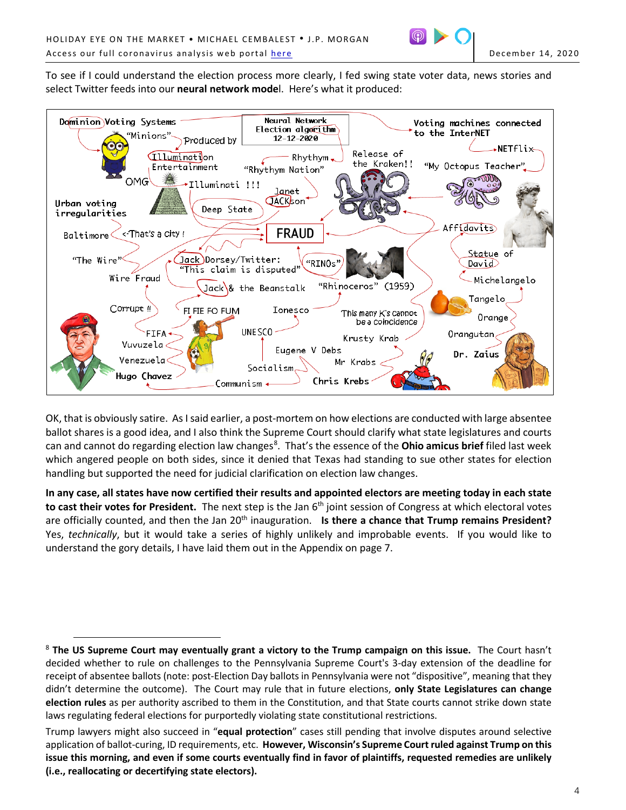

To see if I could understand the election process more clearly, I fed swing state voter data, news stories and select Twitter feeds into our **neural network mode**l. Here's what it produced:



OK, that is obviously satire. As I said earlier, a post-mortem on how elections are conducted with large absentee ballot shares is a good idea, and I also think the Supreme Court should clarify what state legislatures and courts can and cannot do regarding election law changes<sup>[8](#page-3-0)</sup>. That's the essence of the **Ohio amicus brief** filed last week which angered people on both sides, since it denied that Texas had standing to sue other states for election handling but supported the need for judicial clarification on election law changes.

**In any case, all states have now certified their results and appointed electors are meeting today in each state**  to cast their votes for President. The next step is the Jan 6<sup>th</sup> joint session of Congress at which electoral votes are officially counted, and then the Jan 20<sup>th</sup> inauguration. **Is there a chance that Trump remains President?** Yes, *technically*, but it would take a series of highly unlikely and improbable events. If you would like to understand the gory details, I have laid them out in the Appendix on page 7.

 $\overline{a}$ 

<span id="page-3-0"></span><sup>8</sup> **The US Supreme Court may eventually grant a victory to the Trump campaign on this issue.** The Court hasn't decided whether to rule on challenges to the Pennsylvania Supreme Court's 3-day extension of the deadline for receipt of absentee ballots (note: post-Election Day ballots in Pennsylvania were not "dispositive", meaning that they didn't determine the outcome). The Court may rule that in future elections, **only State Legislatures can change election rules** as per authority ascribed to them in the Constitution, and that State courts cannot strike down state laws regulating federal elections for purportedly violating state constitutional restrictions.

Trump lawyers might also succeed in "**equal protection**" cases still pending that involve disputes around selective application of ballot-curing, ID requirements, etc. **However, Wisconsin's Supreme Court ruled against Trump on this issue this morning, and even if some courts eventually find in favor of plaintiffs, requested remedies are unlikely (i.e., reallocating or decertifying state electors).**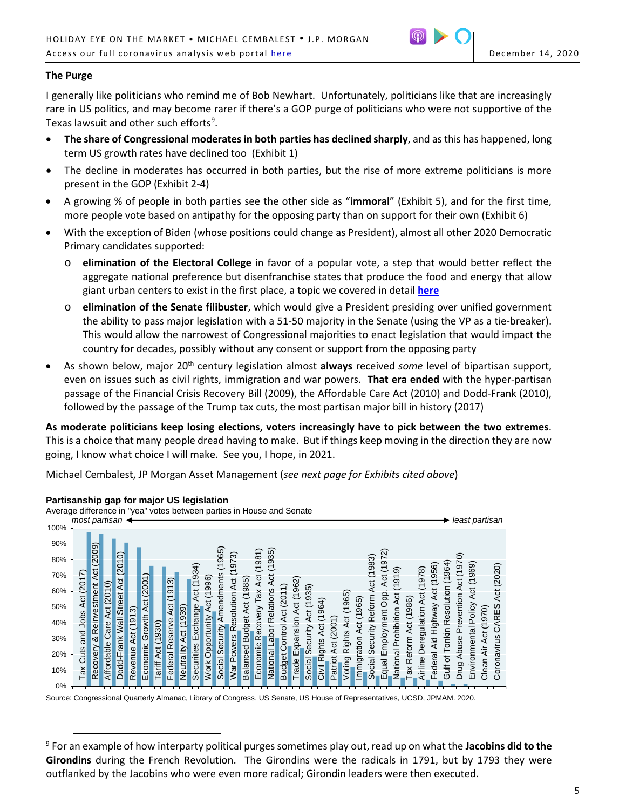

# **The Purge**

I generally like politicians who remind me of Bob Newhart. Unfortunately, politicians like that are increasingly rare in US politics, and may become rarer if there's a GOP purge of politicians who were not supportive of the Texas lawsuit and other such efforts<sup>[9](#page-4-0)</sup>.

- **The share of Congressional moderates in both parties has declined sharply**, and as this has happened, long term US growth rates have declined too (Exhibit 1)
- The decline in moderates has occurred in both parties, but the rise of more extreme politicians is more present in the GOP (Exhibit 2-4)
- A growing % of people in both parties see the other side as "**immoral**" (Exhibit 5), and for the first time, more people vote based on antipathy for the opposing party than on support for their own (Exhibit 6)
- With the exception of Biden (whose positions could change as President), almost all other 2020 Democratic Primary candidates supported:
	- o **elimination of the Electoral College** in favor of a popular vote, a step that would better reflect the aggregate national preference but disenfranchise states that produce the food and energy that allow giant urban centers to exist in the first place, a topic we covered in detail **[here](https://privatebank.jpmorgan.com/content/dam/jpm-wm-aem/global/pb/en/insights/eye-on-the-market/states-rights.pdf)**
	- o **elimination of the Senate filibuster**, which would give a President presiding over unified government the ability to pass major legislation with a 51-50 majority in the Senate (using the VP as a tie-breaker). This would allow the narrowest of Congressional majorities to enact legislation that would impact the country for decades, possibly without any consent or support from the opposing party
- As shown below, major 20<sup>th</sup> century legislation almost **always** received *some* level of bipartisan support, even on issues such as civil rights, immigration and war powers. **That era ended** with the hyper-partisan passage of the Financial Crisis Recovery Bill (2009), the Affordable Care Act (2010) and Dodd-Frank (2010), followed by the passage of the Trump tax cuts, the most partisan major bill in history (2017)

**As moderate politicians keep losing elections, voters increasingly have to pick between the two extremes**. This is a choice that many people dread having to make. But if things keep moving in the direction they are now going, I know what choice I will make. See you, I hope, in 2021.

Michael Cembalest, JP Morgan Asset Management (*see next page for Exhibits cited above*)



## **Partisanship gap for major US legislation**

 $\overline{a}$ 

Average difference in "yea" votes between parties in House and Senate

Source: Congressional Quarterly Almanac, Library of Congress, US Senate, US House of Representatives, UCSD, JPMAM. 2020.

<span id="page-4-0"></span><sup>9</sup> For an example of how interparty political purges sometimes play out, read up on what the **Jacobins did to the Girondins** during the French Revolution. The Girondins were the radicals in 1791, but by 1793 they were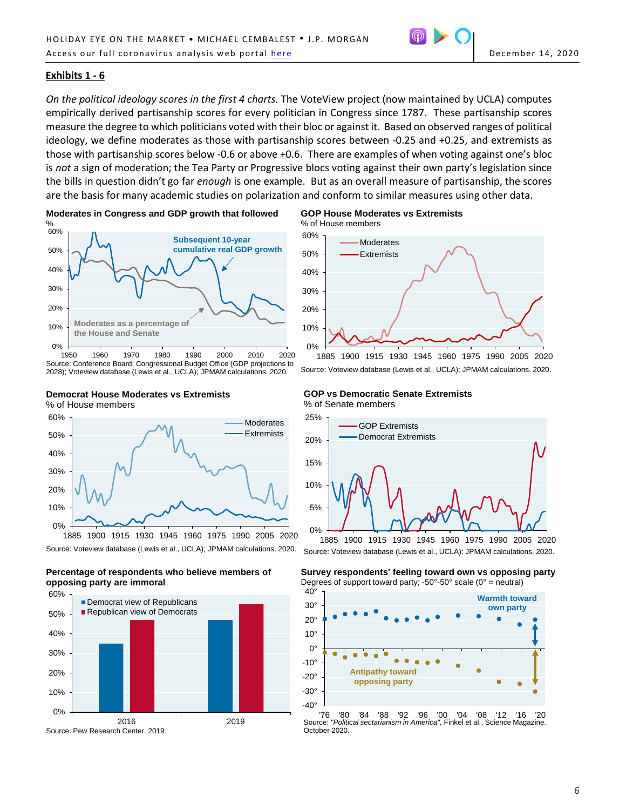

## **Exhibits 1 - 6**

*On the political ideology scores in the first 4 charts.* The VoteView project (now maintained by UCLA) computes empirically derived partisanship scores for every politician in Congress since 1787. These partisanship scores measure the degree to which politicians voted with their bloc or against it. Based on observed ranges of political ideology, we define moderates as those with partisanship scores between -0.25 and +0.25, and extremists as those with partisanship scores below -0.6 or above +0.6. There are examples of when voting against one's bloc is *not* a sign of moderation; the Tea Party or Progressive blocs voting against their own party's legislation since the bills in question didn't go far *enough* is one example. But as an overall measure of partisanship, the scores are the basis for many academic studies on polarization and conform to similar measures using other data.



1950 1960 1970 1980 1990 2000 2010 2020 Source: Conference Board; Congressional Budget Office (GDP projections to 2028); Voteview database (Lewis et al., UCLA); JPMAM calculations. 2020.



**Democrat House Moderates vs Extremists**



**opposing party are immoral**





1885 1900 1915 1930 1945 1960 1975 1990 2005 2020 Source: Voteview database (Lewis et al., UCLA); JPMAM calculations. 2020.

**GOP vs Democratic Senate Extremists** % of Senate members



Source: Voteview database (Lewis et al., UCLA); JPMAM calculations. 2020.

**Survey respondents' feeling toward own vs opposing party** Degrees of support toward party;  $-50^{\circ}$ -50° scale (0° = neutral)



'76 '80 '84 '88 '92 '96 '00 '04 '08 '12 '16 '20 Source: *"Political sectarianism in America",* Finkel et al., Science Magazine. October 2020.

6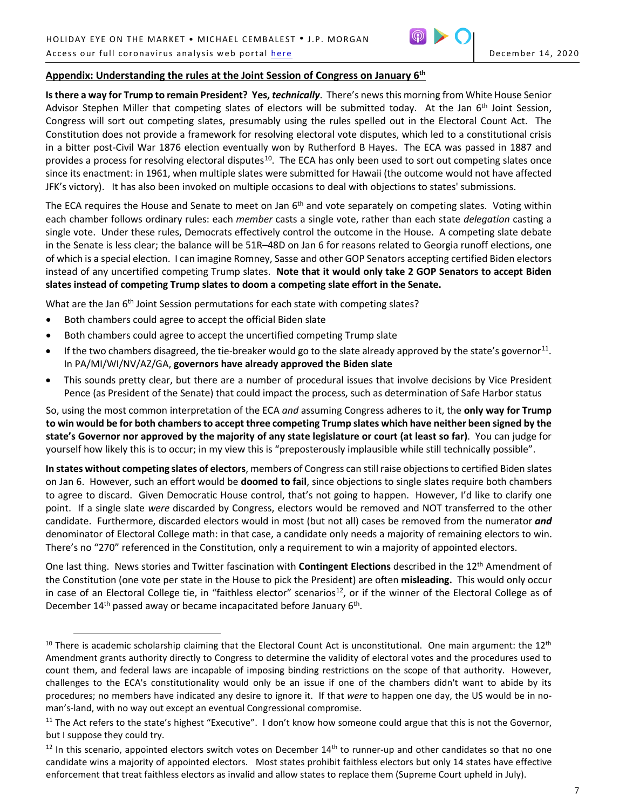

# **Appendix: Understanding the rules at the Joint Session of Congress on January 6th**

**Is there a way for Trump to remain President? Yes,** *technically*. There's newsthis morning from White House Senior Advisor Stephen Miller that competing slates of electors will be submitted today. At the Jan 6<sup>th</sup> Joint Session, Congress will sort out competing slates, presumably using the rules spelled out in the Electoral Count Act. The Constitution does not provide a framework for resolving electoral vote disputes, which led to a constitutional crisis in a bitter post-Civil War 1876 election eventually won by Rutherford B Hayes. The ECA was passed in 1887 and provides a process for resolving electoral disputes<sup>10</sup>. The ECA has only been used to sort out competing slates once since its enactment: in 1961, when multiple slates were submitted for Hawaii (the outcome would not have affected JFK's victory). It has also been invoked on multiple occasions to deal with objections to states' submissions.

The ECA requires the House and Senate to meet on Jan 6<sup>th</sup> and vote separately on competing slates. Voting within each chamber follows ordinary rules: each *member* casts a single vote, rather than each state *delegation* casting a single vote. Under these rules, Democrats effectively control the outcome in the House. A competing slate debate in the Senate is less clear; the balance will be 51R–48D on Jan 6 for reasons related to Georgia runoff elections, one of which is a special election. I can imagine Romney, Sasse and other GOP Senators accepting certified Biden electors instead of any uncertified competing Trump slates. **Note that it would only take 2 GOP Senators to accept Biden slates instead of competing Trump slates to doom a competing slate effort in the Senate.**

What are the Jan 6<sup>th</sup> Joint Session permutations for each state with competing slates?

• Both chambers could agree to accept the official Biden slate

 $\overline{a}$ 

- Both chambers could agree to accept the uncertified competing Trump slate
- $\bullet$  If the two chambers disagreed, the tie-breaker would go to the slate already approved by the state's governor<sup>11</sup>. In PA/MI/WI/NV/AZ/GA, **governors have already approved the Biden slate**
- This sounds pretty clear, but there are a number of procedural issues that involve decisions by Vice President Pence (as President of the Senate) that could impact the process, such as determination of Safe Harbor status

So, using the most common interpretation of the ECA *and* assuming Congress adheres to it, the **only way for Trump to win would be for both chambers to accept three competing Trump slates which have neither been signed by the state's Governor nor approved by the majority of any state legislature or court (at least so far)**. You can judge for yourself how likely this is to occur; in my view this is "preposterously implausible while still technically possible".

**In states without competing slates of electors**, members of Congress can still raise objections to certified Biden slates on Jan 6. However, such an effort would be **doomed to fail**, since objections to single slates require both chambers to agree to discard. Given Democratic House control, that's not going to happen. However, I'd like to clarify one point. If a single slate *were* discarded by Congress, electors would be removed and NOT transferred to the other candidate. Furthermore, discarded electors would in most (but not all) cases be removed from the numerator *and* denominator of Electoral College math: in that case, a candidate only needs a majority of remaining electors to win. There's no "270" referenced in the Constitution, only a requirement to win a majority of appointed electors.

One last thing. News stories and Twitter fascination with **Contingent Elections** described in the 12th Amendment of the Constitution (one vote per state in the House to pick the President) are often **misleading.** This would only occur in case of an Electoral College tie, in "faithless elector" scenarios<sup>12</sup>, or if the winner of the Electoral College as of December  $14<sup>th</sup>$  passed away or became incapacitated before January  $6<sup>th</sup>$ .

<span id="page-6-0"></span> $10$  There is academic scholarship claiming that the Electoral Count Act is unconstitutional. One main argument: the  $12<sup>th</sup>$ Amendment grants authority directly to Congress to determine the validity of electoral votes and the procedures used to count them, and federal laws are incapable of imposing binding restrictions on the scope of that authority. However, challenges to the ECA's constitutionality would only be an issue if one of the chambers didn't want to abide by its procedures; no members have indicated any desire to ignore it. If that *were* to happen one day, the US would be in noman's-land, with no way out except an eventual Congressional compromise.

<span id="page-6-1"></span> $11$  The Act refers to the state's highest "Executive". I don't know how someone could argue that this is not the Governor, but I suppose they could try.

<span id="page-6-2"></span> $12$  In this scenario, appointed electors switch votes on December  $14<sup>th</sup>$  to runner-up and other candidates so that no one candidate wins a majority of appointed electors. Most states prohibit faithless electors but only 14 states have effective enforcement that treat faithless electors as invalid and allow states to replace them (Supreme Court upheld in July).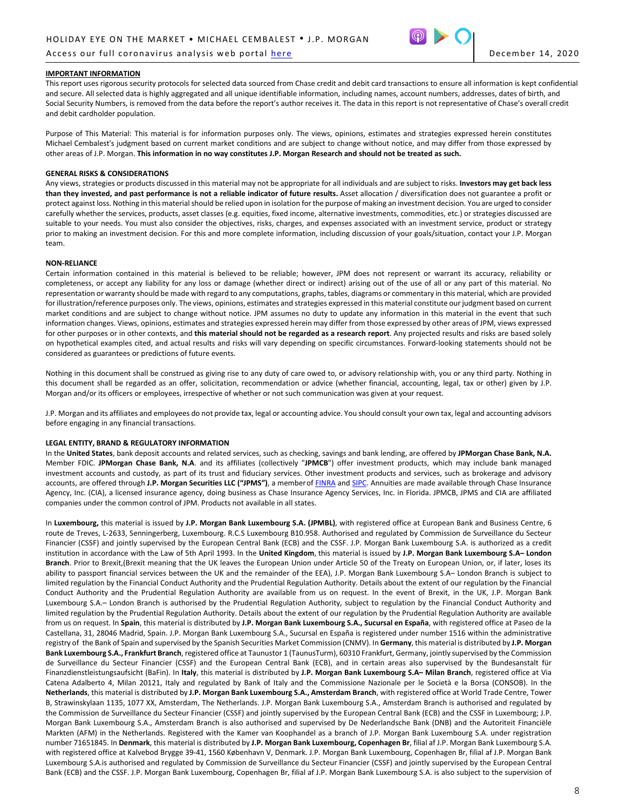### Access our full coronavirus analysis web portal [here](https://www.jpmorgan.com/coronavirus-research) December 14, 2020



#### **IMPORTANT INFORMATION**

This report uses rigorous security protocols for selected data sourced from Chase credit and debit card transactions to ensure all information is kept confidential and secure. All selected data is highly aggregated and all unique identifiable information, including names, account numbers, addresses, dates of birth, and Social Security Numbers, is removed from the data before the report's author receives it. The data in this report is not representative of Chase's overall credit and debit cardholder population.

Purpose of This Material: This material is for information purposes only. The views, opinions, estimates and strategies expressed herein constitutes Michael Cembalest's judgment based on current market conditions and are subject to change without notice, and may differ from those expressed by other areas of J.P. Morgan. **This information in no way constitutes J.P. Morgan Research and should not be treated as such.**

#### **GENERAL RISKS & CONSIDERATIONS**

Any views, strategies or products discussed in this material may not be appropriate for all individuals and are subject to risks. **Investors may get back less than they invested, and past performance is not a reliable indicator of future results.** Asset allocation / diversification does not guarantee a profit or protect against loss. Nothing in this material should be relied upon in isolation for the purpose of making an investment decision. You are urged to consider carefully whether the services, products, asset classes (e.g. equities, fixed income, alternative investments, commodities, etc.) or strategies discussed are suitable to your needs. You must also consider the objectives, risks, charges, and expenses associated with an investment service, product or strategy prior to making an investment decision. For this and more complete information, including discussion of your goals/situation, contact your J.P. Morgan team.

#### **NON-RELIANCE**

Certain information contained in this material is believed to be reliable; however, JPM does not represent or warrant its accuracy, reliability or completeness, or accept any liability for any loss or damage (whether direct or indirect) arising out of the use of all or any part of this material. No representation or warranty should be made with regard to any computations, graphs, tables, diagrams or commentary in this material, which are provided for illustration/reference purposes only. The views, opinions, estimates and strategies expressed in this material constitute our judgment based on current market conditions and are subject to change without notice. JPM assumes no duty to update any information in this material in the event that such information changes. Views, opinions, estimates and strategies expressed herein may differ from those expressed by other areas of JPM, views expressed for other purposes or in other contexts, and **this material should not be regarded as a research report**. Any projected results and risks are based solely on hypothetical examples cited, and actual results and risks will vary depending on specific circumstances. Forward-looking statements should not be considered as guarantees or predictions of future events.

Nothing in this document shall be construed as giving rise to any duty of care owed to, or advisory relationship with, you or any third party. Nothing in this document shall be regarded as an offer, solicitation, recommendation or advice (whether financial, accounting, legal, tax or other) given by J.P. Morgan and/or its officers or employees, irrespective of whether or not such communication was given at your request.

J.P. Morgan and its affiliates and employees do not provide tax, legal or accounting advice. You should consult your own tax, legal and accounting advisors before engaging in any financial transactions.

#### **LEGAL ENTITY, BRAND & REGULATORY INFORMATION**

In the **United States**, bank deposit accounts and related services, such as checking, savings and bank lending, are offered by **JPMorgan Chase Bank, N.A.**  Member FDIC. **JPMorgan Chase Bank, N.A**. and its affiliates (collectively "**JPMCB**") offer investment products, which may include bank managed investment accounts and custody, as part of its trust and fiduciary services. Other investment products and services, such as brokerage and advisory accounts, are offered through **J.P. Morgan Securities LLC ("JPMS")**, a memberof [FINRA](http://www.finra.org/) and [SIPC](http://www.sipc.org/). Annuities are made available through Chase Insurance Agency, Inc. (CIA), a licensed insurance agency, doing business as Chase Insurance Agency Services, Inc. in Florida. JPMCB, JPMS and CIA are affiliated companies under the common control of JPM. Products not available in all states.

In **Luxembourg,** this material is issued by **J.P. Morgan Bank Luxembourg S.A. (JPMBL)**, with registered office at European Bank and Business Centre, 6 route de Treves, L-2633, Senningerberg, Luxembourg. R.C.S Luxembourg B10.958. Authorised and regulated by Commission de Surveillance du Secteur Financier (CSSF) and jointly supervised by the European Central Bank (ECB) and the CSSF. J.P. Morgan Bank Luxembourg S.A. is authorized as a credit institution in accordance with the Law of 5th April 1993. In the **United Kingdom**, this material is issued by **J.P. Morgan Bank Luxembourg S.A– London Branch**. Prior to Brexit,(Brexit meaning that the UK leaves the European Union under Article 50 of the Treaty on European Union, or, if later, loses its ability to passport financial services between the UK and the remainder of the EEA), J.P. Morgan Bank Luxembourg S.A– London Branch is subject to limited regulation by the Financial Conduct Authority and the Prudential Regulation Authority. Details about the extent of our regulation by the Financial Conduct Authority and the Prudential Regulation Authority are available from us on request. In the event of Brexit, in the UK, J.P. Morgan Bank Luxembourg S.A.– London Branch is authorised by the Prudential Regulation Authority, subject to regulation by the Financial Conduct Authority and limited regulation by the Prudential Regulation Authority. Details about the extent of our regulation by the Prudential Regulation Authority are available from us on request. In **Spain**, this material is distributed by **J.P. Morgan Bank Luxembourg S.A., Sucursal en España**, with registered office at Paseo de la Castellana, 31, 28046 Madrid, Spain. J.P. Morgan Bank Luxembourg S.A., Sucursal en España is registered under number 1516 within the administrative registry of the Bank of Spain and supervised by the Spanish Securities Market Commission (CNMV). In **Germany**, this material is distributed by **J.P. Morgan Bank Luxembourg S.A., Frankfurt Branch**, registered office at Taunustor 1 (TaunusTurm), 60310 Frankfurt, Germany, jointly supervised by the Commission de Surveillance du Secteur Financier (CSSF) and the European Central Bank (ECB), and in certain areas also supervised by the Bundesanstalt für Finanzdienstleistungsaufsicht (BaFin). In **Italy**, this material is distributed by **J.P. Morgan Bank Luxembourg S.A– Milan Branch**, registered office at Via Catena Adalberto 4, Milan 20121, Italy and regulated by Bank of Italy and the Commissione Nazionale per le Società e la Borsa (CONSOB). In the **Netherlands**, this material is distributed by **J.P. Morgan Bank Luxembourg S.A., Amsterdam Branch**, with registered office at World Trade Centre, Tower B, Strawinskylaan 1135, 1077 XX, Amsterdam, The Netherlands. J.P. Morgan Bank Luxembourg S.A., Amsterdam Branch is authorised and regulated by the Commission de Surveillance du Secteur Financier (CSSF) and jointly supervised by the European Central Bank (ECB) and the CSSF in Luxembourg; J.P. Morgan Bank Luxembourg S.A., Amsterdam Branch is also authorised and supervised by De Nederlandsche Bank (DNB) and the Autoriteit Financiële Markten (AFM) in the Netherlands. Registered with the Kamer van Koophandel as a branch of J.P. Morgan Bank Luxembourg S.A. under registration number 71651845. In **Denmark**, this material is distributed by **J.P. Morgan Bank Luxembourg, Copenhagen Br**, filial af J.P. Morgan Bank Luxembourg S.A. with registered office at Kalvebod Brygge 39-41, 1560 København V, Denmark. J.P. Morgan Bank Luxembourg, Copenhagen Br, filial af J.P. Morgan Bank Luxembourg S.A.is authorised and regulated by Commission de Surveillance du Secteur Financier (CSSF) and jointly supervised by the European Central Bank (ECB) and the CSSF. J.P. Morgan Bank Luxembourg, Copenhagen Br, filial af J.P. Morgan Bank Luxembourg S.A. is also subject to the supervision of